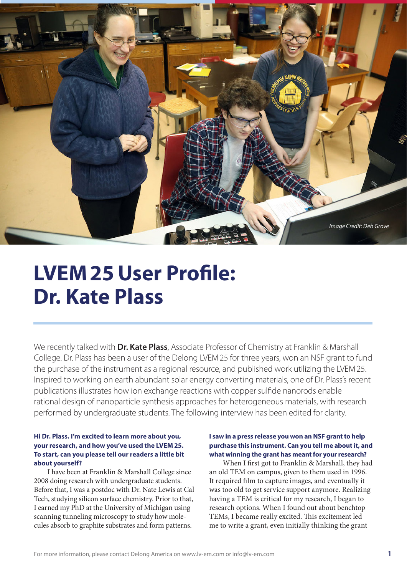

# **LVEM25User Profile: Dr. Kate Plass**

We recently talked with **Dr. Kate Plass**, Associate Professor of Chemistry at Franklin & Marshall College. Dr. Plass has been a user of the Delong LVEM25 for three years, won an NSF grant to fund the purchase of the instrument as a regional resource, and published work utilizing the LVEM25. Inspired to working on earth abundant solar energy converting materials, one of Dr. Plass's recent publications illustrates how ion exchange reactions with copper sulfide nanorods enable rational design of nanoparticle synthesis approaches for heterogeneous materials, with research performed by undergraduate students. The following interview has been edited for clarity.

### **Hi Dr. Plass. I'm excited to learn more about you, your research, and how you've used the LVEM 25. To start, can you please tell our readers a little bit about yourself?**

I have been at Franklin & Marshall College since 2008 doing research with undergraduate students. Before that, I was a postdoc with Dr. Nate Lewis at Cal Tech, studying silicon surface chemistry. Prior to that, I earned my PhD at the University of Michigan using scanning tunneling microscopy to study how molecules absorb to graphite substrates and form patterns.

#### **I saw in a press release you won an NSF grant to help purchase this instrument. Can you tell me about it, and what winning the grant has meant for your research?**

When I first got to Franklin & Marshall, they had an old TEM on campus, given to them used in 1996. It required film to capture images, and eventually it was too old to get service support anymore. Realizing having a TEM is critical for my research, I began to research options. When I found out about benchtop TEMs, I became really excited. This excitement led me to write a grant, even initially thinking the grant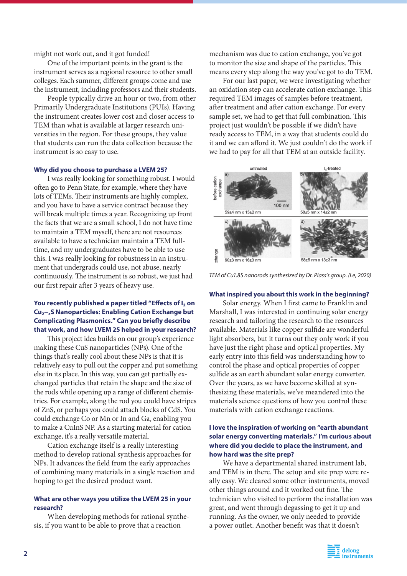might not work out, and it got funded!

One of the important points in the grant is the instrument serves as a regional resource to other small colleges. Each summer, different groups come and use the instrument, including professors and their students.

People typically drive an hour or two, from other Primarily Undergraduate Institutions (PUIs). Having the instrument creates lower cost and closer access to TEM than what is available at larger research universities in the region. For these groups, they value that students can run the data collection because the instrument is so easy to use.

#### **Why did you choose to purchase a LVEM 25?**

I was really looking for something robust. I would often go to Penn State, for example, where they have lots of TEMs. Their instruments are highly complex, and you have to have a service contract because they will break multiple times a year. Recognizing up front the facts that we are a small school, I do not have time to maintain a TEM myself, there are not resources available to have a technician maintain a TEM fulltime, and my undergraduates have to be able to use this. I was really looking for robustness in an instrument that undergrads could use, not abuse, nearly continuously. The instrument is so robust, we just had our first repair after 3 years of heavy use.

# **You recently published a paper titled "Effects of I₂ on Cu₂−xS Nanoparticles: Enabling Cation Exchange but Complicating Plasmonics." Can you briefly describe that work, and how LVEM 25 helped in your research?**

This project idea builds on our group's experience making these CuS nanoparticles (NPs). One of the things that's really cool about these NPs is that it is relatively easy to pull out the copper and put something else in its place. In this way, you can get partially exchanged particles that retain the shape and the size of the rods while opening up a range of different chemistries. For example, along the rod you could have stripes of ZnS, or perhaps you could attach blocks of CdS. You could exchange Co or Mn or In and Ga, enabling you to make a CuInS NP. As a starting material for cation exchange, it's a really versatile material.

Cation exchange itself is a really interesting method to develop rational synthesis approaches for NPs. It advances the field from the early approaches of combining many materials in a single reaction and hoping to get the desired product want.

#### **What are other ways you utilize the LVEM 25 in your research?**

When developing methods for rational synthesis, if you want to be able to prove that a reaction

mechanism was due to cation exchange, you've got to monitor the size and shape of the particles. This means every step along the way you've got to do TEM.

For our last paper, we were investigating whether an oxidation step can accelerate cation exchange. This required TEM images of samples before treatment, after treatment and after cation exchange. For every sample set, we had to get that full combination. This project just wouldn't be possible if we didn't have ready access to TEM, in a way that students could do it and we can afford it. We just couldn't do the work if we had to pay for all that TEM at an outside facility.



*TEM of Cu1.8S nanorods synthesized by Dr. Plass's group. (Le, 2020)*

#### **What inspired you about this work in the beginning?**

Solar energy. When I first came to Franklin and Marshall, I was interested in continuing solar energy research and tailoring the research to the resources available. Materials like copper sulfide are wonderful light absorbers, but it turns out they only work if you have just the right phase and optical properties. My early entry into this field was understanding how to control the phase and optical properties of copper sulfide as an earth abundant solar energy converter. Over the years, as we have become skilled at synthesizing these materials, we've meandered into the materials science questions of how you control these materials with cation exchange reactions.

## **I love the inspiration of working on "earth abundant solar energy converting materials." I'm curious about where did you decide to place the instrument, and how hard was the site prep?**

We have a departmental shared instrument lab, and TEM is in there. The setup and site prep were really easy. We cleared some other instruments, moved other things around and it worked out fine. The technician who visited to perform the installation was great, and went through degassing to get it up and running. As the owner, we only needed to provide a power outlet. Another benefit was that it doesn't